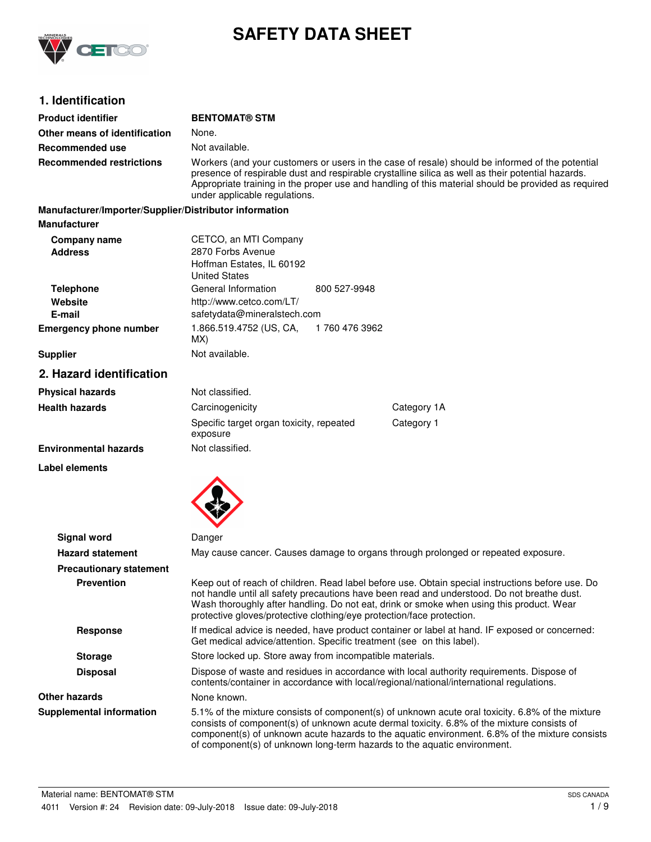

# **SAFETY DATA SHEET**

# **1. Identification**

| <b>Product identifier</b>                              | <b>BENTOMAT® STM</b>                                                                                                                                                                                                                                                                                                                                                         |  |  |
|--------------------------------------------------------|------------------------------------------------------------------------------------------------------------------------------------------------------------------------------------------------------------------------------------------------------------------------------------------------------------------------------------------------------------------------------|--|--|
| Other means of identification                          | None.                                                                                                                                                                                                                                                                                                                                                                        |  |  |
| Recommended use                                        | Not available.                                                                                                                                                                                                                                                                                                                                                               |  |  |
| <b>Recommended restrictions</b>                        | Workers (and your customers or users in the case of resale) should be informed of the potential<br>presence of respirable dust and respirable crystalline silica as well as their potential hazards.<br>Appropriate training in the proper use and handling of this material should be provided as required<br>under applicable regulations.                                 |  |  |
| Manufacturer/Importer/Supplier/Distributor information |                                                                                                                                                                                                                                                                                                                                                                              |  |  |
| <b>Manufacturer</b>                                    |                                                                                                                                                                                                                                                                                                                                                                              |  |  |
| Company name                                           | CETCO, an MTI Company                                                                                                                                                                                                                                                                                                                                                        |  |  |
| <b>Address</b>                                         | 2870 Forbs Avenue                                                                                                                                                                                                                                                                                                                                                            |  |  |
|                                                        | Hoffman Estates, IL 60192<br><b>United States</b>                                                                                                                                                                                                                                                                                                                            |  |  |
| <b>Telephone</b>                                       | General Information<br>800 527-9948                                                                                                                                                                                                                                                                                                                                          |  |  |
| Website                                                | http://www.cetco.com/LT/                                                                                                                                                                                                                                                                                                                                                     |  |  |
| E-mail                                                 | safetydata@mineralstech.com                                                                                                                                                                                                                                                                                                                                                  |  |  |
| <b>Emergency phone number</b>                          | 1.866.519.4752 (US, CA,<br>1 760 476 3962<br>MX)                                                                                                                                                                                                                                                                                                                             |  |  |
| <b>Supplier</b>                                        | Not available.                                                                                                                                                                                                                                                                                                                                                               |  |  |
| 2. Hazard identification                               |                                                                                                                                                                                                                                                                                                                                                                              |  |  |
| <b>Physical hazards</b>                                | Not classified.                                                                                                                                                                                                                                                                                                                                                              |  |  |
| <b>Health hazards</b>                                  | Category 1A<br>Carcinogenicity                                                                                                                                                                                                                                                                                                                                               |  |  |
|                                                        | Category 1<br>Specific target organ toxicity, repeated<br>exposure                                                                                                                                                                                                                                                                                                           |  |  |
| <b>Environmental hazards</b>                           | Not classified.                                                                                                                                                                                                                                                                                                                                                              |  |  |
| <b>Label elements</b>                                  |                                                                                                                                                                                                                                                                                                                                                                              |  |  |
|                                                        |                                                                                                                                                                                                                                                                                                                                                                              |  |  |
| <b>Signal word</b>                                     | Danger                                                                                                                                                                                                                                                                                                                                                                       |  |  |
| <b>Hazard statement</b>                                | May cause cancer. Causes damage to organs through prolonged or repeated exposure.                                                                                                                                                                                                                                                                                            |  |  |
| <b>Precautionary statement</b>                         |                                                                                                                                                                                                                                                                                                                                                                              |  |  |
| <b>Prevention</b>                                      | Keep out of reach of children. Read label before use. Obtain special instructions before use. Do<br>not handle until all safety precautions have been read and understood. Do not breathe dust.<br>Wash thoroughly after handling. Do not eat, drink or smoke when using this product. Wear<br>protective gloves/protective clothing/eye protection/face protection.         |  |  |
| <b>Response</b>                                        | If medical advice is needed, have product container or label at hand. IF exposed or concerned:<br>Get medical advice/attention. Specific treatment (see on this label).                                                                                                                                                                                                      |  |  |
| <b>Storage</b>                                         | Store locked up. Store away from incompatible materials.                                                                                                                                                                                                                                                                                                                     |  |  |
| <b>Disposal</b>                                        | Dispose of waste and residues in accordance with local authority requirements. Dispose of<br>contents/container in accordance with local/regional/national/international regulations.                                                                                                                                                                                        |  |  |
| <b>Other hazards</b>                                   | None known.                                                                                                                                                                                                                                                                                                                                                                  |  |  |
| <b>Supplemental information</b>                        | 5.1% of the mixture consists of component(s) of unknown acute oral toxicity. 6.8% of the mixture<br>consists of component(s) of unknown acute dermal toxicity. 6.8% of the mixture consists of<br>component(s) of unknown acute hazards to the aquatic environment. 6.8% of the mixture consists<br>of component(s) of unknown long-term hazards to the aquatic environment. |  |  |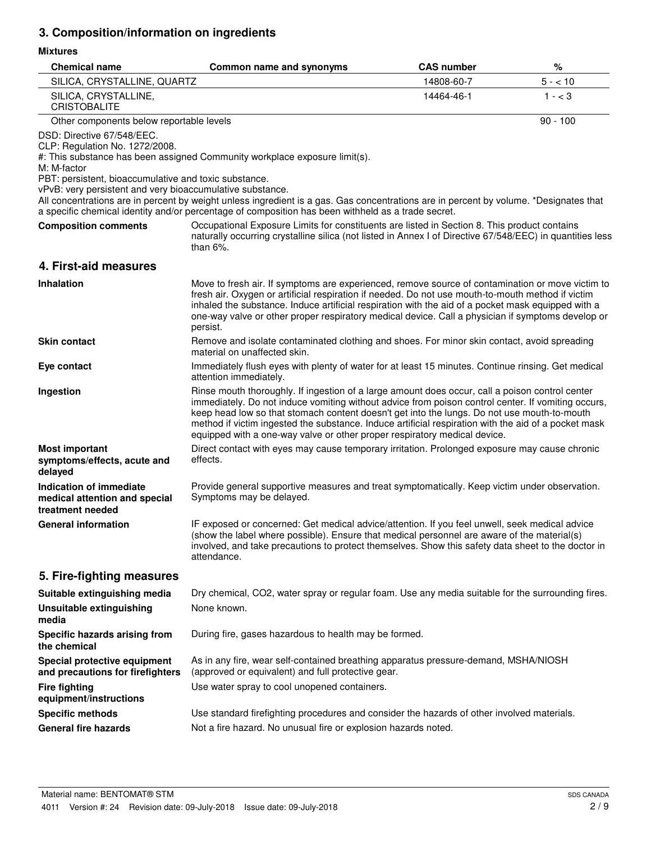# **3. Composition/information on ingredients**

## **Mixtures**

| <b>Chemical name</b>                                                                                                                                                                              | Common name and synonyms                                                                                                                                                                                                                                                                                                                                                                                                                                                                  | <b>CAS number</b> | %          |
|---------------------------------------------------------------------------------------------------------------------------------------------------------------------------------------------------|-------------------------------------------------------------------------------------------------------------------------------------------------------------------------------------------------------------------------------------------------------------------------------------------------------------------------------------------------------------------------------------------------------------------------------------------------------------------------------------------|-------------------|------------|
| SILICA, CRYSTALLINE, QUARTZ                                                                                                                                                                       |                                                                                                                                                                                                                                                                                                                                                                                                                                                                                           | 14808-60-7        | $5 - 10$   |
| SILICA, CRYSTALLINE,<br><b>CRISTOBALITE</b>                                                                                                                                                       |                                                                                                                                                                                                                                                                                                                                                                                                                                                                                           | 14464-46-1        | $1 - < 3$  |
| Other components below reportable levels                                                                                                                                                          |                                                                                                                                                                                                                                                                                                                                                                                                                                                                                           |                   | $90 - 100$ |
| DSD: Directive 67/548/EEC.<br>CLP: Regulation No. 1272/2008.<br>M: M-factor<br>PBT: persistent, bioaccumulative and toxic substance.<br>vPvB: very persistent and very bioaccumulative substance. | #: This substance has been assigned Community workplace exposure limit(s).                                                                                                                                                                                                                                                                                                                                                                                                                |                   |            |
|                                                                                                                                                                                                   | All concentrations are in percent by weight unless ingredient is a gas. Gas concentrations are in percent by volume. *Designates that<br>a specific chemical identity and/or percentage of composition has been withheld as a trade secret.                                                                                                                                                                                                                                               |                   |            |
| <b>Composition comments</b>                                                                                                                                                                       | Occupational Exposure Limits for constituents are listed in Section 8. This product contains<br>naturally occurring crystalline silica (not listed in Annex I of Directive 67/548/EEC) in quantities less<br>than $6\%$ .                                                                                                                                                                                                                                                                 |                   |            |
| 4. First-aid measures                                                                                                                                                                             |                                                                                                                                                                                                                                                                                                                                                                                                                                                                                           |                   |            |
| <b>Inhalation</b>                                                                                                                                                                                 | Move to fresh air. If symptoms are experienced, remove source of contamination or move victim to<br>fresh air. Oxygen or artificial respiration if needed. Do not use mouth-to-mouth method if victim<br>inhaled the substance. Induce artificial respiration with the aid of a pocket mask equipped with a<br>one-way valve or other proper respiratory medical device. Call a physician if symptoms develop or<br>persist.                                                              |                   |            |
| <b>Skin contact</b>                                                                                                                                                                               | Remove and isolate contaminated clothing and shoes. For minor skin contact, avoid spreading<br>material on unaffected skin.                                                                                                                                                                                                                                                                                                                                                               |                   |            |
| Eye contact                                                                                                                                                                                       | Immediately flush eyes with plenty of water for at least 15 minutes. Continue rinsing. Get medical<br>attention immediately.                                                                                                                                                                                                                                                                                                                                                              |                   |            |
| Ingestion                                                                                                                                                                                         | Rinse mouth thoroughly. If ingestion of a large amount does occur, call a poison control center<br>immediately. Do not induce vomiting without advice from poison control center. If vomiting occurs,<br>keep head low so that stomach content doesn't get into the lungs. Do not use mouth-to-mouth<br>method if victim ingested the substance. Induce artificial respiration with the aid of a pocket mask<br>equipped with a one-way valve or other proper respiratory medical device. |                   |            |
| <b>Most important</b><br>symptoms/effects, acute and<br>delayed                                                                                                                                   | Direct contact with eyes may cause temporary irritation. Prolonged exposure may cause chronic<br>effects.                                                                                                                                                                                                                                                                                                                                                                                 |                   |            |
| Indication of immediate<br>medical attention and special<br>treatment needed                                                                                                                      | Provide general supportive measures and treat symptomatically. Keep victim under observation.<br>Symptoms may be delayed.                                                                                                                                                                                                                                                                                                                                                                 |                   |            |
| <b>General information</b>                                                                                                                                                                        | IF exposed or concerned: Get medical advice/attention. If you feel unwell, seek medical advice<br>(show the label where possible). Ensure that medical personnel are aware of the material(s)<br>involved, and take precautions to protect themselves. Show this safety data sheet to the doctor in<br>attendance.                                                                                                                                                                        |                   |            |
| 5. Fire-fighting measures                                                                                                                                                                         |                                                                                                                                                                                                                                                                                                                                                                                                                                                                                           |                   |            |
| Suitable extinguishing media                                                                                                                                                                      | Dry chemical, CO2, water spray or regular foam. Use any media suitable for the surrounding fires.                                                                                                                                                                                                                                                                                                                                                                                         |                   |            |
| <b>Unsuitable extinguishing</b><br>media                                                                                                                                                          | None known.                                                                                                                                                                                                                                                                                                                                                                                                                                                                               |                   |            |
| Specific hazards arising from<br>the chemical                                                                                                                                                     | During fire, gases hazardous to health may be formed.                                                                                                                                                                                                                                                                                                                                                                                                                                     |                   |            |
| Special protective equipment<br>and precautions for firefighters                                                                                                                                  | As in any fire, wear self-contained breathing apparatus pressure-demand, MSHA/NIOSH<br>(approved or equivalent) and full protective gear.                                                                                                                                                                                                                                                                                                                                                 |                   |            |
| <b>Fire fighting</b><br>equipment/instructions                                                                                                                                                    | Use water spray to cool unopened containers.                                                                                                                                                                                                                                                                                                                                                                                                                                              |                   |            |
| <b>Specific methods</b>                                                                                                                                                                           | Use standard firefighting procedures and consider the hazards of other involved materials.                                                                                                                                                                                                                                                                                                                                                                                                |                   |            |
| <b>General fire hazards</b>                                                                                                                                                                       | Not a fire hazard. No unusual fire or explosion hazards noted.                                                                                                                                                                                                                                                                                                                                                                                                                            |                   |            |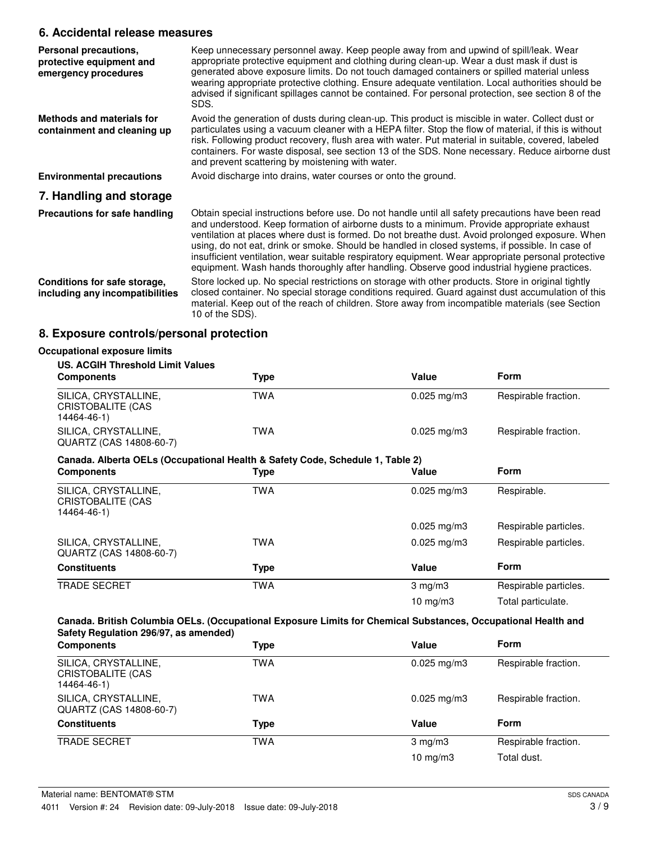# **6. Accidental release measures**

| Personal precautions,<br>protective equipment and<br>emergency procedures | Keep unnecessary personnel away. Keep people away from and upwind of spill/leak. Wear<br>appropriate protective equipment and clothing during clean-up. Wear a dust mask if dust is<br>generated above exposure limits. Do not touch damaged containers or spilled material unless<br>wearing appropriate protective clothing. Ensure adequate ventilation. Local authorities should be<br>advised if significant spillages cannot be contained. For personal protection, see section 8 of the<br>SDS.                                                                                                      |
|---------------------------------------------------------------------------|-------------------------------------------------------------------------------------------------------------------------------------------------------------------------------------------------------------------------------------------------------------------------------------------------------------------------------------------------------------------------------------------------------------------------------------------------------------------------------------------------------------------------------------------------------------------------------------------------------------|
| Methods and materials for<br>containment and cleaning up                  | Avoid the generation of dusts during clean-up. This product is miscible in water. Collect dust or<br>particulates using a vacuum cleaner with a HEPA filter. Stop the flow of material, if this is without<br>risk. Following product recovery, flush area with water. Put material in suitable, covered, labeled<br>containers. For waste disposal, see section 13 of the SDS. None necessary. Reduce airborne dust<br>and prevent scattering by moistening with water.                                                                                                                                    |
| <b>Environmental precautions</b>                                          | Avoid discharge into drains, water courses or onto the ground.                                                                                                                                                                                                                                                                                                                                                                                                                                                                                                                                              |
| 7. Handling and storage                                                   |                                                                                                                                                                                                                                                                                                                                                                                                                                                                                                                                                                                                             |
| Precautions for safe handling                                             | Obtain special instructions before use. Do not handle until all safety precautions have been read<br>and understood. Keep formation of airborne dusts to a minimum. Provide appropriate exhaust<br>ventilation at places where dust is formed. Do not breathe dust. Avoid prolonged exposure. When<br>using, do not eat, drink or smoke. Should be handled in closed systems, if possible. In case of<br>insufficient ventilation, wear suitable respiratory equipment. Wear appropriate personal protective<br>equipment. Wash hands thoroughly after handling. Observe good industrial hygiene practices. |
| Conditions for safe storage,<br>including any incompatibilities           | Store locked up. No special restrictions on storage with other products. Store in original tightly<br>closed container. No special storage conditions required. Guard against dust accumulation of this<br>material. Keep out of the reach of children. Store away from incompatible materials (see Section<br>10 of the SDS).                                                                                                                                                                                                                                                                              |

# **8. Exposure controls/personal protection**

| <b>US. ACGIH Threshold Limit Values</b>                                       |            |                         |                       |
|-------------------------------------------------------------------------------|------------|-------------------------|-----------------------|
| <b>Components</b>                                                             | Type       | Value                   | Form                  |
| SILICA, CRYSTALLINE,<br><b>CRISTOBALITE (CAS</b><br>14464-46-1)               | <b>TWA</b> | $0.025$ mg/m3           | Respirable fraction.  |
| SILICA, CRYSTALLINE,<br>QUARTZ (CAS 14808-60-7)                               | <b>TWA</b> | $0.025 \,\mathrm{mg/m}$ | Respirable fraction.  |
| Canada. Alberta OELs (Occupational Health & Safety Code, Schedule 1, Table 2) |            |                         |                       |
| <b>Components</b>                                                             | Type       | Value                   | Form                  |
| SILICA, CRYSTALLINE,<br>CRISTOBALITE (CAS<br>14464-46-1)                      | <b>TWA</b> | $0.025$ mg/m3           | Respirable.           |
|                                                                               |            | $0.025$ mg/m3           | Respirable particles. |
| SILICA, CRYSTALLINE,<br>QUARTZ (CAS 14808-60-7)                               | <b>TWA</b> | $0.025$ mg/m3           | Respirable particles. |
| <b>Constituents</b>                                                           | Type       | Value                   | Form                  |
| <b>TRADE SECRET</b>                                                           | <b>TWA</b> | $3$ mg/m $3$            | Respirable particles. |
|                                                                               |            | 10 mg/m $3$             | Total particulate.    |

| <b>Components</b>                                        | Type | Value                     | <b>Form</b>          |
|----------------------------------------------------------|------|---------------------------|----------------------|
| SILICA, CRYSTALLINE,<br>CRISTOBALITE (CAS<br>14464-46-1) | TWA  | $0.025 \,\mathrm{mq/m}$ 3 | Respirable fraction. |
| SILICA, CRYSTALLINE,<br>QUARTZ (CAS 14808-60-7)          | TWA  | $0.025 \,\mathrm{mg/m}$   | Respirable fraction. |
| <b>Constituents</b>                                      | Type | Value                     | <b>Form</b>          |
| <b>TRADE SECRET</b>                                      | TWA  | $3 \text{ mg/m}$          | Respirable fraction. |
|                                                          |      | $10 \text{ mg/m}$         | Total dust.          |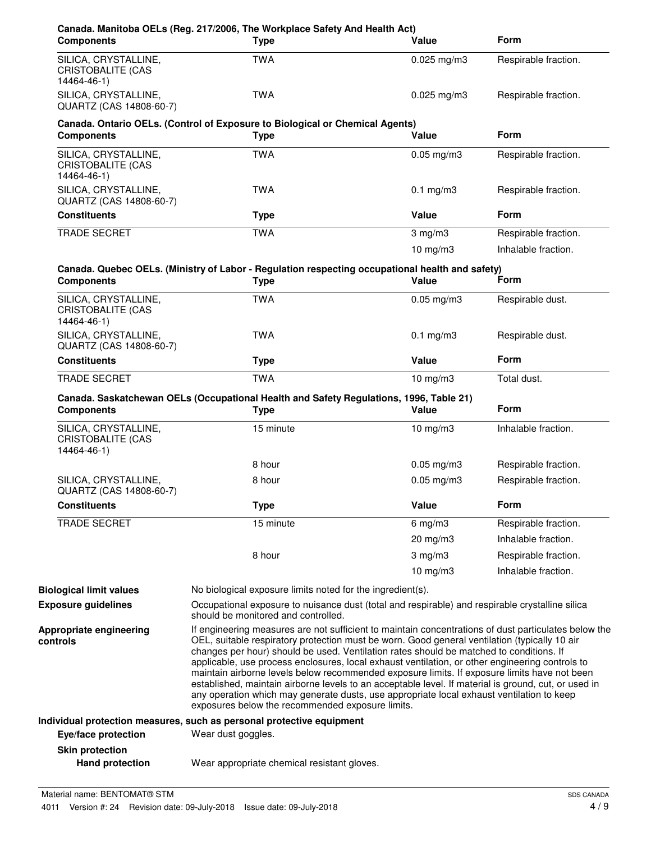| <b>Components</b>                                               | Canada. Manitoba OELs (Reg. 217/2006, The Workplace Safety And Health Act)<br><b>Type</b>                                                                                                                                                                                                                                                                                                                                                                                                                                                                                                                                                                                                                | Value           | <b>Form</b>          |
|-----------------------------------------------------------------|----------------------------------------------------------------------------------------------------------------------------------------------------------------------------------------------------------------------------------------------------------------------------------------------------------------------------------------------------------------------------------------------------------------------------------------------------------------------------------------------------------------------------------------------------------------------------------------------------------------------------------------------------------------------------------------------------------|-----------------|----------------------|
| SILICA, CRYSTALLINE,<br>CRISTOBALITE (CAS<br>14464-46-1)        | <b>TWA</b>                                                                                                                                                                                                                                                                                                                                                                                                                                                                                                                                                                                                                                                                                               | $0.025$ mg/m3   | Respirable fraction. |
| SILICA, CRYSTALLINE,<br>QUARTZ (CAS 14808-60-7)                 | <b>TWA</b>                                                                                                                                                                                                                                                                                                                                                                                                                                                                                                                                                                                                                                                                                               | $0.025$ mg/m3   | Respirable fraction. |
| <b>Components</b>                                               | Canada. Ontario OELs. (Control of Exposure to Biological or Chemical Agents)<br><b>Type</b>                                                                                                                                                                                                                                                                                                                                                                                                                                                                                                                                                                                                              | Value           | <b>Form</b>          |
| SILICA, CRYSTALLINE,<br><b>CRISTOBALITE (CAS</b><br>14464-46-1) | <b>TWA</b>                                                                                                                                                                                                                                                                                                                                                                                                                                                                                                                                                                                                                                                                                               | $0.05$ mg/m $3$ | Respirable fraction. |
| SILICA, CRYSTALLINE,<br>QUARTZ (CAS 14808-60-7)                 | <b>TWA</b>                                                                                                                                                                                                                                                                                                                                                                                                                                                                                                                                                                                                                                                                                               | $0.1$ mg/m $3$  | Respirable fraction. |
| <b>Constituents</b>                                             | <b>Type</b>                                                                                                                                                                                                                                                                                                                                                                                                                                                                                                                                                                                                                                                                                              | Value           | <b>Form</b>          |
| <b>TRADE SECRET</b>                                             | <b>TWA</b>                                                                                                                                                                                                                                                                                                                                                                                                                                                                                                                                                                                                                                                                                               | $3$ mg/m $3$    | Respirable fraction. |
|                                                                 |                                                                                                                                                                                                                                                                                                                                                                                                                                                                                                                                                                                                                                                                                                          | $10$ mg/m $3$   | Inhalable fraction.  |
| <b>Components</b>                                               | Canada. Quebec OELs. (Ministry of Labor - Regulation respecting occupational health and safety)<br><b>Type</b>                                                                                                                                                                                                                                                                                                                                                                                                                                                                                                                                                                                           | Value           | Form                 |
| SILICA, CRYSTALLINE,<br><b>CRISTOBALITE (CAS</b><br>14464-46-1) | <b>TWA</b>                                                                                                                                                                                                                                                                                                                                                                                                                                                                                                                                                                                                                                                                                               | $0.05$ mg/m $3$ | Respirable dust.     |
| SILICA, CRYSTALLINE,<br>QUARTZ (CAS 14808-60-7)                 | <b>TWA</b>                                                                                                                                                                                                                                                                                                                                                                                                                                                                                                                                                                                                                                                                                               | $0.1$ mg/m $3$  | Respirable dust.     |
| <b>Constituents</b>                                             | <b>Type</b>                                                                                                                                                                                                                                                                                                                                                                                                                                                                                                                                                                                                                                                                                              | Value           | <b>Form</b>          |
| TRADE SECRET                                                    | <b>TWA</b>                                                                                                                                                                                                                                                                                                                                                                                                                                                                                                                                                                                                                                                                                               | $10$ mg/m $3$   | Total dust.          |
| <b>Components</b>                                               | Canada. Saskatchewan OELs (Occupational Health and Safety Regulations, 1996, Table 21)<br><b>Type</b>                                                                                                                                                                                                                                                                                                                                                                                                                                                                                                                                                                                                    | Value           | <b>Form</b>          |
| SILICA, CRYSTALLINE,<br><b>CRISTOBALITE (CAS</b><br>14464-46-1) | 15 minute                                                                                                                                                                                                                                                                                                                                                                                                                                                                                                                                                                                                                                                                                                | $10$ mg/m $3$   | Inhalable fraction.  |
|                                                                 | 8 hour                                                                                                                                                                                                                                                                                                                                                                                                                                                                                                                                                                                                                                                                                                   | $0.05$ mg/m3    | Respirable fraction. |
| SILICA, CRYSTALLINE,<br>QUARTZ (CAS 14808-60-7)                 | 8 hour                                                                                                                                                                                                                                                                                                                                                                                                                                                                                                                                                                                                                                                                                                   | $0.05$ mg/m $3$ | Respirable fraction. |
| <b>Constituents</b>                                             | <b>Type</b>                                                                                                                                                                                                                                                                                                                                                                                                                                                                                                                                                                                                                                                                                              | Value           | Form                 |
| <b>TRADE SECRET</b>                                             | 15 minute                                                                                                                                                                                                                                                                                                                                                                                                                                                                                                                                                                                                                                                                                                | $6$ mg/m $3$    | Respirable fraction. |
|                                                                 |                                                                                                                                                                                                                                                                                                                                                                                                                                                                                                                                                                                                                                                                                                          | 20 mg/m3        | Inhalable fraction.  |
|                                                                 | 8 hour                                                                                                                                                                                                                                                                                                                                                                                                                                                                                                                                                                                                                                                                                                   | $3$ mg/m $3$    | Respirable fraction. |
|                                                                 |                                                                                                                                                                                                                                                                                                                                                                                                                                                                                                                                                                                                                                                                                                          | 10 $mg/m3$      | Inhalable fraction.  |
| <b>Biological limit values</b>                                  | No biological exposure limits noted for the ingredient(s).                                                                                                                                                                                                                                                                                                                                                                                                                                                                                                                                                                                                                                               |                 |                      |
| <b>Exposure guidelines</b>                                      | Occupational exposure to nuisance dust (total and respirable) and respirable crystalline silica<br>should be monitored and controlled.                                                                                                                                                                                                                                                                                                                                                                                                                                                                                                                                                                   |                 |                      |
| Appropriate engineering<br>controls                             | If engineering measures are not sufficient to maintain concentrations of dust particulates below the<br>OEL, suitable respiratory protection must be worn. Good general ventilation (typically 10 air<br>changes per hour) should be used. Ventilation rates should be matched to conditions. If<br>applicable, use process enclosures, local exhaust ventilation, or other engineering controls to<br>maintain airborne levels below recommended exposure limits. If exposure limits have not been<br>established, maintain airborne levels to an acceptable level. If material is ground, cut, or used in<br>any operation which may generate dusts, use appropriate local exhaust ventilation to keep |                 |                      |
|                                                                 | exposures below the recommended exposure limits.                                                                                                                                                                                                                                                                                                                                                                                                                                                                                                                                                                                                                                                         |                 |                      |
| Eye/face protection                                             | Individual protection measures, such as personal protective equipment<br>Wear dust goggles.                                                                                                                                                                                                                                                                                                                                                                                                                                                                                                                                                                                                              |                 |                      |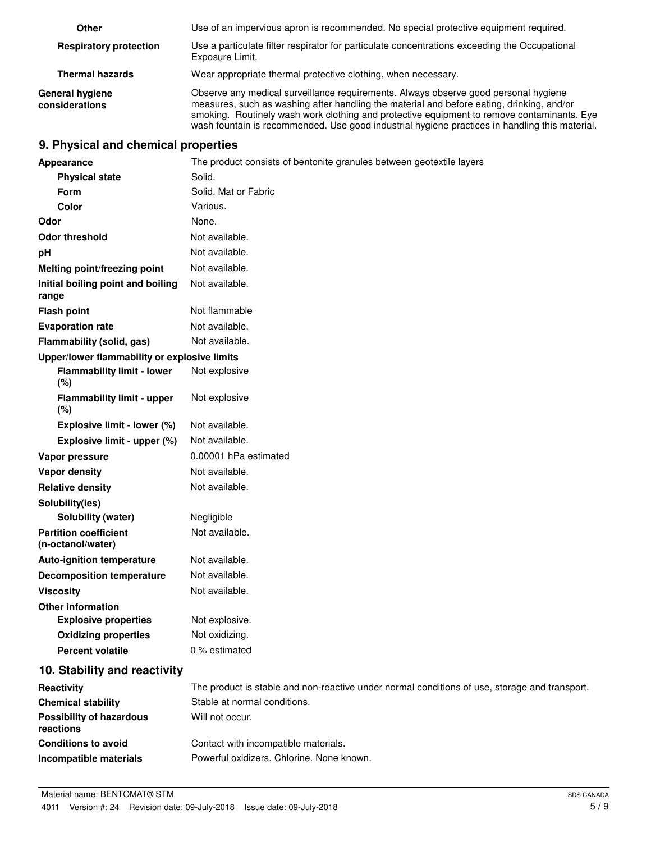| Other                                    | Use of an impervious apron is recommended. No special protective equipment required.                                                                                                                                                                                                                                                                                             |
|------------------------------------------|----------------------------------------------------------------------------------------------------------------------------------------------------------------------------------------------------------------------------------------------------------------------------------------------------------------------------------------------------------------------------------|
| <b>Respiratory protection</b>            | Use a particulate filter respirator for particulate concentrations exceeding the Occupational<br>Exposure Limit.                                                                                                                                                                                                                                                                 |
| <b>Thermal hazards</b>                   | Wear appropriate thermal protective clothing, when necessary.                                                                                                                                                                                                                                                                                                                    |
| <b>General hygiene</b><br>considerations | Observe any medical surveillance requirements. Always observe good personal hygiene<br>measures, such as washing after handling the material and before eating, drinking, and/or<br>smoking. Routinely wash work clothing and protective equipment to remove contaminants. Eye<br>wash fountain is recommended. Use good industrial hygiene practices in handling this material. |

# **9. Physical and chemical properties**

| Appearance                                        | The product consists of bentonite granules between geotextile layers                          |
|---------------------------------------------------|-----------------------------------------------------------------------------------------------|
| <b>Physical state</b>                             | Solid.                                                                                        |
| Form                                              | Solid. Mat or Fabric                                                                          |
| Color                                             | Various.                                                                                      |
| Odor                                              | None.                                                                                         |
| <b>Odor threshold</b>                             | Not available.                                                                                |
| pH                                                | Not available.                                                                                |
| Melting point/freezing point                      | Not available.                                                                                |
| Initial boiling point and boiling<br>range        | Not available.                                                                                |
| <b>Flash point</b>                                | Not flammable                                                                                 |
| <b>Evaporation rate</b>                           | Not available.                                                                                |
| Flammability (solid, gas)                         | Not available.                                                                                |
| Upper/lower flammability or explosive limits      |                                                                                               |
| <b>Flammability limit - lower</b><br>(%)          | Not explosive                                                                                 |
| <b>Flammability limit - upper</b><br>(%)          | Not explosive                                                                                 |
| Explosive limit - lower (%)                       | Not available.                                                                                |
| Explosive limit - upper (%)                       | Not available.                                                                                |
| Vapor pressure                                    | 0.00001 hPa estimated                                                                         |
| Vapor density                                     | Not available.                                                                                |
| <b>Relative density</b>                           | Not available.                                                                                |
| Solubility(ies)                                   |                                                                                               |
| Solubility (water)                                | Negligible                                                                                    |
| <b>Partition coefficient</b><br>(n-octanol/water) | Not available.                                                                                |
| <b>Auto-ignition temperature</b>                  | Not available.                                                                                |
| <b>Decomposition temperature</b>                  | Not available.                                                                                |
| <b>Viscosity</b>                                  | Not available.                                                                                |
| <b>Other information</b>                          |                                                                                               |
| <b>Explosive properties</b>                       | Not explosive.                                                                                |
| <b>Oxidizing properties</b>                       | Not oxidizing.                                                                                |
| <b>Percent volatile</b>                           | 0 % estimated                                                                                 |
| 10. Stability and reactivity                      |                                                                                               |
| Reactivity                                        | The product is stable and non-reactive under normal conditions of use, storage and transport. |
| <b>Chemical stability</b>                         | Stable at normal conditions.                                                                  |
| <b>Possibility of hazardous</b><br>reactions      | Will not occur.                                                                               |
| <b>Conditions to avoid</b>                        | Contact with incompatible materials.                                                          |
| Incompatible materials                            | Powerful oxidizers. Chlorine. None known.                                                     |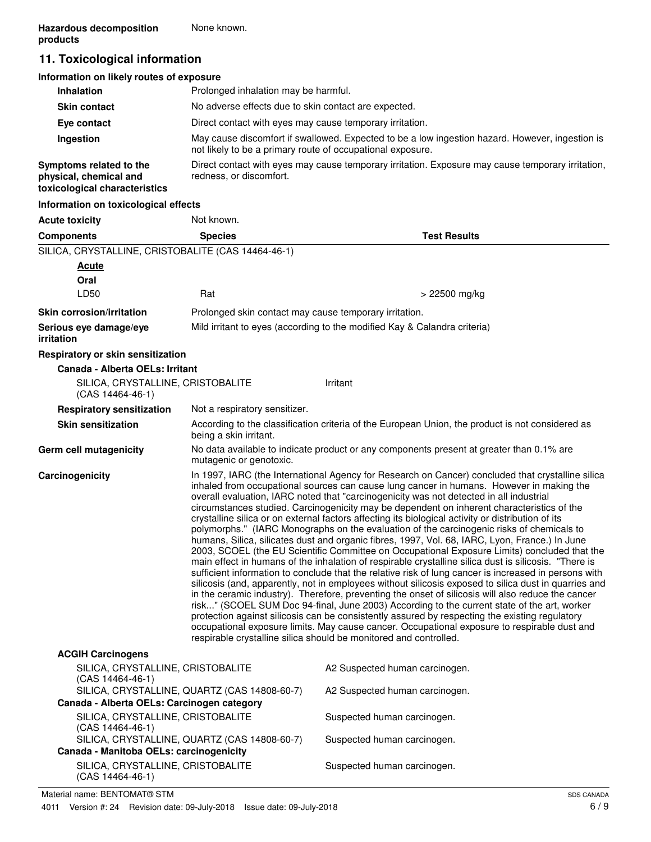# **11. Toxicological information**

| Information on likely routes of exposure                                           |                                                                                                                                                               |
|------------------------------------------------------------------------------------|---------------------------------------------------------------------------------------------------------------------------------------------------------------|
| <b>Inhalation</b>                                                                  | Prolonged inhalation may be harmful.                                                                                                                          |
| <b>Skin contact</b>                                                                | No adverse effects due to skin contact are expected.                                                                                                          |
| Eye contact                                                                        | Direct contact with eyes may cause temporary irritation.                                                                                                      |
| Ingestion                                                                          | May cause discomfort if swallowed. Expected to be a low ingestion hazard. However, ingestion is<br>not likely to be a primary route of occupational exposure. |
| Symptoms related to the<br>physical, chemical and<br>toxicological characteristics | Direct contact with eyes may cause temporary irritation. Exposure may cause temporary irritation,<br>redness, or discomfort.                                  |
| Information on toxicological effects                                               |                                                                                                                                                               |

| <b>Acute toxicity</b>                                   | Not known.                                                                                                                                                                                                                                                                                                                                                                                                                                                                                                                                                                                                                                                                                                                                                                                                                                                                                                                                                                                                                                                                                                                                                                                                                                                                                                                                                                                                                                                                                                                                                                                         |                                                                                                  |
|---------------------------------------------------------|----------------------------------------------------------------------------------------------------------------------------------------------------------------------------------------------------------------------------------------------------------------------------------------------------------------------------------------------------------------------------------------------------------------------------------------------------------------------------------------------------------------------------------------------------------------------------------------------------------------------------------------------------------------------------------------------------------------------------------------------------------------------------------------------------------------------------------------------------------------------------------------------------------------------------------------------------------------------------------------------------------------------------------------------------------------------------------------------------------------------------------------------------------------------------------------------------------------------------------------------------------------------------------------------------------------------------------------------------------------------------------------------------------------------------------------------------------------------------------------------------------------------------------------------------------------------------------------------------|--------------------------------------------------------------------------------------------------|
| <b>Components</b>                                       | <b>Species</b>                                                                                                                                                                                                                                                                                                                                                                                                                                                                                                                                                                                                                                                                                                                                                                                                                                                                                                                                                                                                                                                                                                                                                                                                                                                                                                                                                                                                                                                                                                                                                                                     | <b>Test Results</b>                                                                              |
| SILICA, CRYSTALLINE, CRISTOBALITE (CAS 14464-46-1)      |                                                                                                                                                                                                                                                                                                                                                                                                                                                                                                                                                                                                                                                                                                                                                                                                                                                                                                                                                                                                                                                                                                                                                                                                                                                                                                                                                                                                                                                                                                                                                                                                    |                                                                                                  |
| <b>Acute</b>                                            |                                                                                                                                                                                                                                                                                                                                                                                                                                                                                                                                                                                                                                                                                                                                                                                                                                                                                                                                                                                                                                                                                                                                                                                                                                                                                                                                                                                                                                                                                                                                                                                                    |                                                                                                  |
| Oral                                                    |                                                                                                                                                                                                                                                                                                                                                                                                                                                                                                                                                                                                                                                                                                                                                                                                                                                                                                                                                                                                                                                                                                                                                                                                                                                                                                                                                                                                                                                                                                                                                                                                    |                                                                                                  |
| LD50                                                    | Rat                                                                                                                                                                                                                                                                                                                                                                                                                                                                                                                                                                                                                                                                                                                                                                                                                                                                                                                                                                                                                                                                                                                                                                                                                                                                                                                                                                                                                                                                                                                                                                                                | > 22500 mg/kg                                                                                    |
| <b>Skin corrosion/irritation</b>                        | Prolonged skin contact may cause temporary irritation.                                                                                                                                                                                                                                                                                                                                                                                                                                                                                                                                                                                                                                                                                                                                                                                                                                                                                                                                                                                                                                                                                                                                                                                                                                                                                                                                                                                                                                                                                                                                             |                                                                                                  |
| Serious eye damage/eye<br><i>irritation</i>             |                                                                                                                                                                                                                                                                                                                                                                                                                                                                                                                                                                                                                                                                                                                                                                                                                                                                                                                                                                                                                                                                                                                                                                                                                                                                                                                                                                                                                                                                                                                                                                                                    | Mild irritant to eyes (according to the modified Kay & Calandra criteria)                        |
| Respiratory or skin sensitization                       |                                                                                                                                                                                                                                                                                                                                                                                                                                                                                                                                                                                                                                                                                                                                                                                                                                                                                                                                                                                                                                                                                                                                                                                                                                                                                                                                                                                                                                                                                                                                                                                                    |                                                                                                  |
| Canada - Alberta OELs: Irritant                         |                                                                                                                                                                                                                                                                                                                                                                                                                                                                                                                                                                                                                                                                                                                                                                                                                                                                                                                                                                                                                                                                                                                                                                                                                                                                                                                                                                                                                                                                                                                                                                                                    |                                                                                                  |
| SILICA, CRYSTALLINE, CRISTOBALITE<br>$(CAS 14464-46-1)$ |                                                                                                                                                                                                                                                                                                                                                                                                                                                                                                                                                                                                                                                                                                                                                                                                                                                                                                                                                                                                                                                                                                                                                                                                                                                                                                                                                                                                                                                                                                                                                                                                    | Irritant                                                                                         |
| <b>Respiratory sensitization</b>                        | Not a respiratory sensitizer.                                                                                                                                                                                                                                                                                                                                                                                                                                                                                                                                                                                                                                                                                                                                                                                                                                                                                                                                                                                                                                                                                                                                                                                                                                                                                                                                                                                                                                                                                                                                                                      |                                                                                                  |
| <b>Skin sensitization</b>                               | being a skin irritant.                                                                                                                                                                                                                                                                                                                                                                                                                                                                                                                                                                                                                                                                                                                                                                                                                                                                                                                                                                                                                                                                                                                                                                                                                                                                                                                                                                                                                                                                                                                                                                             | According to the classification criteria of the European Union, the product is not considered as |
| Germ cell mutagenicity                                  | mutagenic or genotoxic.                                                                                                                                                                                                                                                                                                                                                                                                                                                                                                                                                                                                                                                                                                                                                                                                                                                                                                                                                                                                                                                                                                                                                                                                                                                                                                                                                                                                                                                                                                                                                                            | No data available to indicate product or any components present at greater than 0.1% are         |
| Carcinogenicity                                         | In 1997, IARC (the International Agency for Research on Cancer) concluded that crystalline silica<br>inhaled from occupational sources can cause lung cancer in humans. However in making the<br>overall evaluation, IARC noted that "carcinogenicity was not detected in all industrial<br>circumstances studied. Carcinogenicity may be dependent on inherent characteristics of the<br>crystalline silica or on external factors affecting its biological activity or distribution of its<br>polymorphs." (IARC Monographs on the evaluation of the carcinogenic risks of chemicals to<br>humans, Silica, silicates dust and organic fibres, 1997, Vol. 68, IARC, Lyon, France.) In June<br>2003, SCOEL (the EU Scientific Committee on Occupational Exposure Limits) concluded that the<br>main effect in humans of the inhalation of respirable crystalline silica dust is silicosis. "There is<br>sufficient information to conclude that the relative risk of lung cancer is increased in persons with<br>silicosis (and, apparently, not in employees without silicosis exposed to silica dust in quarries and<br>in the ceramic industry). Therefore, preventing the onset of silicosis will also reduce the cancer<br>risk" (SCOEL SUM Doc 94-final, June 2003) According to the current state of the art, worker<br>protection against silicosis can be consistently assured by respecting the existing regulatory<br>occupational exposure limits. May cause cancer. Occupational exposure to respirable dust and<br>respirable crystalline silica should be monitored and controlled. |                                                                                                  |
| <b>ACGIH Carcinogens</b>                                |                                                                                                                                                                                                                                                                                                                                                                                                                                                                                                                                                                                                                                                                                                                                                                                                                                                                                                                                                                                                                                                                                                                                                                                                                                                                                                                                                                                                                                                                                                                                                                                                    |                                                                                                  |
| SILICA, CRYSTALLINE, CRISTOBALITE<br>$(CAS 14464-46-1)$ |                                                                                                                                                                                                                                                                                                                                                                                                                                                                                                                                                                                                                                                                                                                                                                                                                                                                                                                                                                                                                                                                                                                                                                                                                                                                                                                                                                                                                                                                                                                                                                                                    | A2 Suspected human carcinogen.                                                                   |
| Canada - Alberta OELs: Carcinogen category              | SILICA, CRYSTALLINE, QUARTZ (CAS 14808-60-7)                                                                                                                                                                                                                                                                                                                                                                                                                                                                                                                                                                                                                                                                                                                                                                                                                                                                                                                                                                                                                                                                                                                                                                                                                                                                                                                                                                                                                                                                                                                                                       | A2 Suspected human carcinogen.                                                                   |
| SILICA, CRYSTALLINE, CRISTOBALITE                       |                                                                                                                                                                                                                                                                                                                                                                                                                                                                                                                                                                                                                                                                                                                                                                                                                                                                                                                                                                                                                                                                                                                                                                                                                                                                                                                                                                                                                                                                                                                                                                                                    | Suspected human carcinogen.                                                                      |
| $(CAS 14464-46-1)$                                      | SILICA, CRYSTALLINE, QUARTZ (CAS 14808-60-7)                                                                                                                                                                                                                                                                                                                                                                                                                                                                                                                                                                                                                                                                                                                                                                                                                                                                                                                                                                                                                                                                                                                                                                                                                                                                                                                                                                                                                                                                                                                                                       | Suspected human carcinogen.                                                                      |
| Canada - Manitoba OELs: carcinogenicity                 |                                                                                                                                                                                                                                                                                                                                                                                                                                                                                                                                                                                                                                                                                                                                                                                                                                                                                                                                                                                                                                                                                                                                                                                                                                                                                                                                                                                                                                                                                                                                                                                                    |                                                                                                  |
| SILICA, CRYSTALLINE, CRISTOBALITE                       |                                                                                                                                                                                                                                                                                                                                                                                                                                                                                                                                                                                                                                                                                                                                                                                                                                                                                                                                                                                                                                                                                                                                                                                                                                                                                                                                                                                                                                                                                                                                                                                                    | Suspected human carcinogen.                                                                      |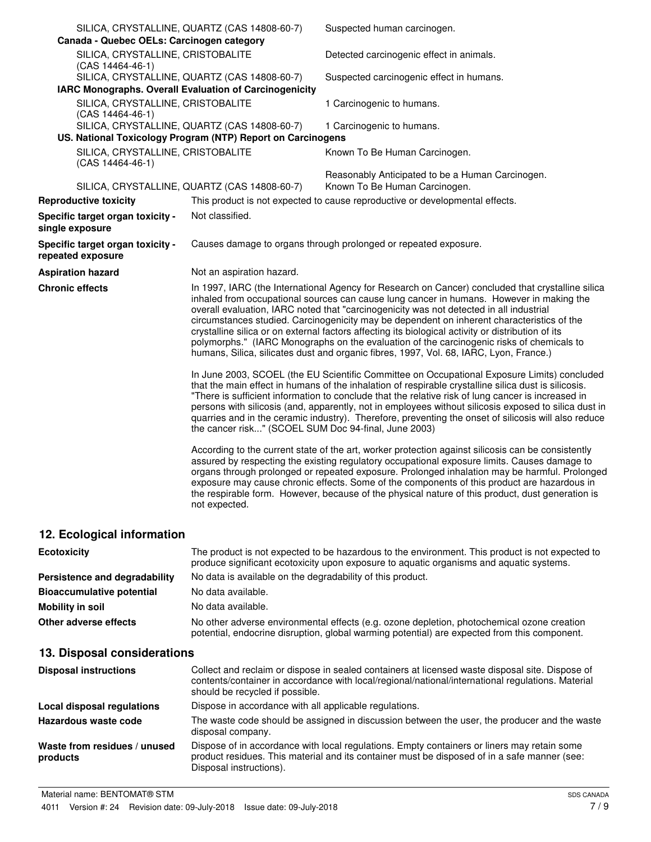| Canada - Quebec OELs: Carcinogen category              | SILICA, CRYSTALLINE, QUARTZ (CAS 14808-60-7)                | Suspected human carcinogen.                                                                                                                                                                                                                                                                                                                                                                                                                                                                                                                                                                                                                                                         |
|--------------------------------------------------------|-------------------------------------------------------------|-------------------------------------------------------------------------------------------------------------------------------------------------------------------------------------------------------------------------------------------------------------------------------------------------------------------------------------------------------------------------------------------------------------------------------------------------------------------------------------------------------------------------------------------------------------------------------------------------------------------------------------------------------------------------------------|
| SILICA, CRYSTALLINE, CRISTOBALITE<br>(CAS 14464-46-1)  |                                                             | Detected carcinogenic effect in animals.                                                                                                                                                                                                                                                                                                                                                                                                                                                                                                                                                                                                                                            |
| IARC Monographs. Overall Evaluation of Carcinogenicity | SILICA, CRYSTALLINE, QUARTZ (CAS 14808-60-7)                | Suspected carcinogenic effect in humans.                                                                                                                                                                                                                                                                                                                                                                                                                                                                                                                                                                                                                                            |
| SILICA, CRYSTALLINE, CRISTOBALITE                      |                                                             |                                                                                                                                                                                                                                                                                                                                                                                                                                                                                                                                                                                                                                                                                     |
| $(CAS 14464-46-1)$                                     |                                                             | 1 Carcinogenic to humans.                                                                                                                                                                                                                                                                                                                                                                                                                                                                                                                                                                                                                                                           |
|                                                        | SILICA, CRYSTALLINE, QUARTZ (CAS 14808-60-7)                | 1 Carcinogenic to humans.                                                                                                                                                                                                                                                                                                                                                                                                                                                                                                                                                                                                                                                           |
|                                                        | US. National Toxicology Program (NTP) Report on Carcinogens |                                                                                                                                                                                                                                                                                                                                                                                                                                                                                                                                                                                                                                                                                     |
| SILICA, CRYSTALLINE, CRISTOBALITE<br>(CAS 14464-46-1)  |                                                             | Known To Be Human Carcinogen.                                                                                                                                                                                                                                                                                                                                                                                                                                                                                                                                                                                                                                                       |
|                                                        | SILICA, CRYSTALLINE, QUARTZ (CAS 14808-60-7)                | Reasonably Anticipated to be a Human Carcinogen.<br>Known To Be Human Carcinogen.                                                                                                                                                                                                                                                                                                                                                                                                                                                                                                                                                                                                   |
| <b>Reproductive toxicity</b>                           |                                                             | This product is not expected to cause reproductive or developmental effects.                                                                                                                                                                                                                                                                                                                                                                                                                                                                                                                                                                                                        |
| Specific target organ toxicity -<br>single exposure    | Not classified.                                             |                                                                                                                                                                                                                                                                                                                                                                                                                                                                                                                                                                                                                                                                                     |
| Specific target organ toxicity -<br>repeated exposure  |                                                             | Causes damage to organs through prolonged or repeated exposure.                                                                                                                                                                                                                                                                                                                                                                                                                                                                                                                                                                                                                     |
| <b>Aspiration hazard</b>                               | Not an aspiration hazard.                                   |                                                                                                                                                                                                                                                                                                                                                                                                                                                                                                                                                                                                                                                                                     |
| <b>Chronic effects</b>                                 |                                                             | In 1997, IARC (the International Agency for Research on Cancer) concluded that crystalline silica<br>inhaled from occupational sources can cause lung cancer in humans. However in making the<br>overall evaluation, IARC noted that "carcinogenicity was not detected in all industrial<br>circumstances studied. Carcinogenicity may be dependent on inherent characteristics of the<br>crystalline silica or on external factors affecting its biological activity or distribution of its<br>polymorphs." (IARC Monographs on the evaluation of the carcinogenic risks of chemicals to<br>humans, Silica, silicates dust and organic fibres, 1997, Vol. 68, IARC, Lyon, France.) |
|                                                        | the cancer risk" (SCOEL SUM Doc 94-final, June 2003)        | In June 2003, SCOEL (the EU Scientific Committee on Occupational Exposure Limits) concluded<br>that the main effect in humans of the inhalation of respirable crystalline silica dust is silicosis.<br>"There is sufficient information to conclude that the relative risk of lung cancer is increased in<br>persons with silicosis (and, apparently, not in employees without silicosis exposed to silica dust in<br>quarries and in the ceramic industry). Therefore, preventing the onset of silicosis will also reduce                                                                                                                                                          |
|                                                        | not expected.                                               | According to the current state of the art, worker protection against silicosis can be consistently<br>assured by respecting the existing regulatory occupational exposure limits. Causes damage to<br>organs through prolonged or repeated exposure. Prolonged inhalation may be harmful. Prolonged<br>exposure may cause chronic effects. Some of the components of this product are hazardous in<br>the respirable form. However, because of the physical nature of this product, dust generation is                                                                                                                                                                              |
| 12. Ecological information                             |                                                             |                                                                                                                                                                                                                                                                                                                                                                                                                                                                                                                                                                                                                                                                                     |

| <b>Ecotoxicity</b>               | The product is not expected to be hazardous to the environment. This product is not expected to<br>produce significant ecotoxicity upon exposure to aquatic organisms and aquatic systems. |
|----------------------------------|--------------------------------------------------------------------------------------------------------------------------------------------------------------------------------------------|
| Persistence and degradability    | No data is available on the degradability of this product.                                                                                                                                 |
| <b>Bioaccumulative potential</b> | No data available.                                                                                                                                                                         |
| <b>Mobility in soil</b>          | No data available.                                                                                                                                                                         |
| Other adverse effects            | No other adverse environmental effects (e.g. ozone depletion, photochemical ozone creation<br>potential, endocrine disruption, global warming potential) are expected from this component. |

# **13. Disposal considerations**

| <b>Disposal instructions</b>             | Collect and reclaim or dispose in sealed containers at licensed waste disposal site. Dispose of<br>contents/container in accordance with local/regional/national/international regulations. Material<br>should be recycled if possible. |
|------------------------------------------|-----------------------------------------------------------------------------------------------------------------------------------------------------------------------------------------------------------------------------------------|
| Local disposal regulations               | Dispose in accordance with all applicable regulations.                                                                                                                                                                                  |
| Hazardous waste code                     | The waste code should be assigned in discussion between the user, the producer and the waste<br>disposal company.                                                                                                                       |
| Waste from residues / unused<br>products | Dispose of in accordance with local regulations. Empty containers or liners may retain some<br>product residues. This material and its container must be disposed of in a safe manner (see:<br>Disposal instructions).                  |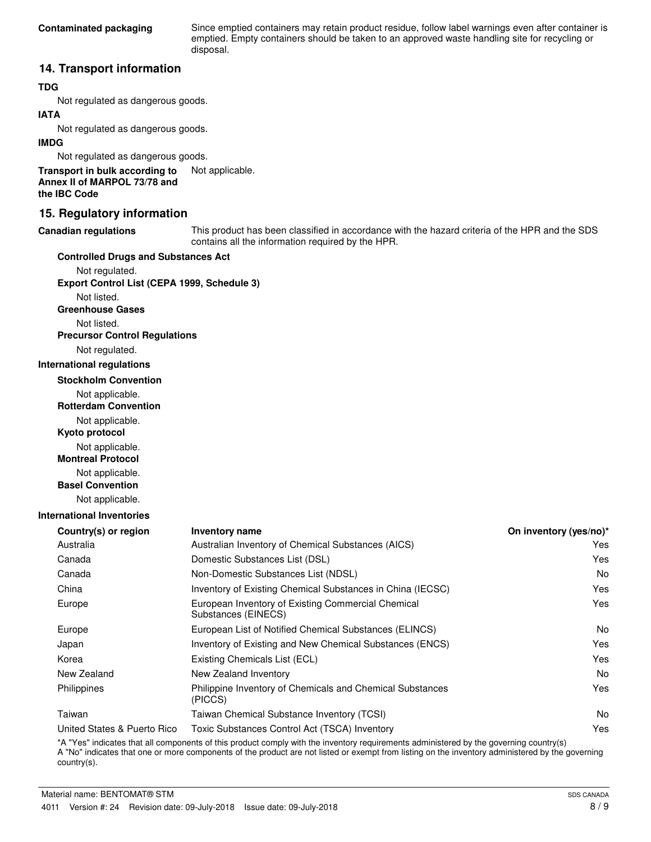Since emptied containers may retain product residue, follow label warnings even after container is emptied. Empty containers should be taken to an approved waste handling site for recycling or disposal.

## **14. Transport information**

## **TDG**

Not regulated as dangerous goods.

## **IATA**

Not regulated as dangerous goods.

#### **IMDG**

Not regulated as dangerous goods.

**Transport in bulk according to** Not applicable. **Annex II of MARPOL 73/78 and the IBC Code**

## **15. Regulatory information**

#### **Canadian regulations**

This product has been classified in accordance with the hazard criteria of the HPR and the SDS contains all the information required by the HPR.

#### **Controlled Drugs and Substances Act**

Not regulated. **Export Control List (CEPA 1999, Schedule 3)**

Not listed. **Greenhouse Gases**

Not listed.

**Precursor Control Regulations**

Not regulated.

#### **International regulations**

**Stockholm Convention**

Not applicable.

**Rotterdam Convention**

Not applicable.

**Kyoto protocol**

Not applicable.

**Montreal Protocol**

Not applicable.

**Basel Convention**

Not applicable.

#### **International Inventories**

| <b>Inventory name</b>                                                     | On inventory (yes/no)* |
|---------------------------------------------------------------------------|------------------------|
| Australian Inventory of Chemical Substances (AICS)                        | Yes                    |
| Domestic Substances List (DSL)                                            | Yes                    |
| Non-Domestic Substances List (NDSL)                                       | No.                    |
| Inventory of Existing Chemical Substances in China (IECSC)                | Yes                    |
| European Inventory of Existing Commercial Chemical<br>Substances (EINECS) | Yes                    |
| European List of Notified Chemical Substances (ELINCS)                    | N <sub>0</sub>         |
| Inventory of Existing and New Chemical Substances (ENCS)                  | Yes                    |
| Existing Chemicals List (ECL)                                             | Yes                    |
| New Zealand Inventory                                                     | No.                    |
| Philippine Inventory of Chemicals and Chemical Substances<br>(PICCS)      | Yes                    |
| Taiwan Chemical Substance Inventory (TCSI)                                | No.                    |
| Toxic Substances Control Act (TSCA) Inventory                             | Yes                    |
|                                                                           |                        |

\*A "Yes" indicates that all components of this product comply with the inventory requirements administered by the governing country(s) A "No" indicates that one or more components of the product are not listed or exempt from listing on the inventory administered by the governing country(s).